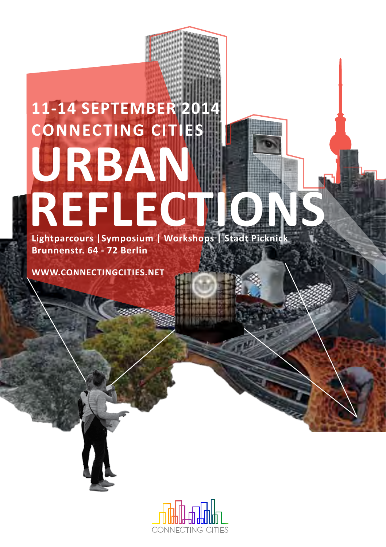# **11-14 SEPTEMBER 2014 CONNECTING CITIES Lightparcours |Symposium | Workshops | Stadt Picknick URBAN REFLECTI**

**Brunnenstr. 64 - 72 Berlin** 

**WWW.CONNECTINGCITIES.NET**

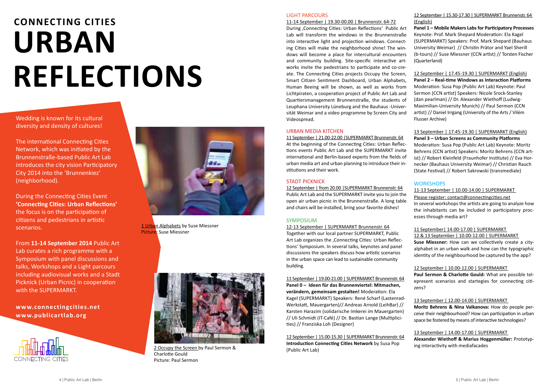# **CONNECTING CITIES URBAN REFLECTIONS**

# Wedding is known for its cultural diversity and density of cultures!

The international Connecting Cities Network, which was initiated by the Brunnenstraße-based Public Art Lab introduces the city vision Participatory City 2014 into the 'Brunnenkiez' (neighborhood).

During the Connecting Cities Event **'Connecting Cities: Urban Reflections'** the focus is on the participation of citizens and pedestrians in artistic scenarios.

From **11-14 September 2014** Public Art Lab curates a rich programme with a Symposium with panel discussions and talks, Workshops and a Light parcours including audiovisual works and a Stadt Picknick (Urban Picnic) in cooperation with the SUPERMARKT.

# **www.connectingcities.net www.publicartlab.org**





1 Urban Alphabets by Suse Miessner Picture: Suse Miessner



2 Occupy the Screen by Paul Sermon & Charlotte Gould Picture: Paul Sermon

# LIGHT PARCOURS

### 11-14 September | 19.30-00.00 | Brunnenstr. 64-72

During 'Connecting Cities: Urban Reflections' Public Art Lab will transform the windows in the Brunnenstraße into interactive light and projection windows. Connecting Cities will make the neighborhood shine! The windows will become a place for intercultural encounters and community building. Site-specific interactive artworks invite the pedestrians to participate and co-create. The Connecting Cities projects Occupy the Screen, Smart Citizen Sentiment Dashboard, Urban Alphabets, Human Beeing will be shown, as well as works from Lichtpiraten, a cooperation project of Public Art Lab and Quartiersmanagement Brunnenstraße, the students of Leuphana University Lüneburg and the Bauhaus -Universität Weimar and a video programme by Screen City and Videospread.

# URBAN MEDIA KITCHEN

11 September | 21.00-22.00 |SUPERMARKT Brunnenstr. 64 At the beginning of the Connecting Cities: Urban Reflections events Public Art Lab and the SUPERMARKT invite international and Berlin-based experts from the fields of urban media art and urban planning to introduce their institutions and their work.

# STADT PICKNICK

12 September | from 20.00 |SUPERMARKT Brunnenstr. 64 Public Art Lab and the SUPERMARKT invite you to join the open air urban picnic in the Brunnenstraße. A long table and chairs will be installed, bring your favorite dishes!

# SYMPOSIUM

12-13 September | SUPERMARKT Brunnenstr. 64 Together with our local partner SUPERMARKT, Public Art Lab organizes the , Connecting Cities: Urban Reflections' Symposium. In several talks, keynotes and panel discussions the speakers discuss how artistic scenarios in the urban space can lead to sustainable community building.

## 11 September | 19.00-21.00 | SUPERMARKT Brunnenstr. 64

**Panel 0 – Ideen für das Brunnenviertel: Mitmachen, verändern, gemeinsam gestalten!** Moderation: Ela Kagel (SUPERMARKT) Speakers: René Scharf (Lastenrad-Werkstatt, Mauergarten)// Andreas Arnold (LeihBar) // Karsten Harazim (solidarische Imkerei im Mauergarten) // Uli Schmidt (IT-Café) // Dr. Bastian Lange (Multiplicities) // Franziska Loh (Designer)

12 September | 15.00-15.30 | SUPERMARKT Brunnenstr. 64 **Introduction Connecting Cities Network** by Susa Pop (Public Art Lab)

## 12 September | 15.30-17.30 | SUPERMARKT Brunnenstr. 64 (English)

**Panel 1 – Mobile Makers Labs for Participatory Processes** Keynote: Prof. Mark Shepard Moderation: Ela Kagel (SUPERMARKT) Speakers: Prof. Mark Shepard (Bauhaus University Weimar) // Christin Prätor and Yael Sherill (b-tours) // Suse Miessner (CCN artist) // Torsten Fischer (Quarterland)

12 September | 17.45-19.30 | SUPERMARKT (English) **Panel 2 – Real-time Windows as Interaction Platforms**  Moderation: Susa Pop (Public Art Lab) Keynote: Paul Sermon (CCN artist) Speakers: Nicole Srock-Stanley (dan pearlman) // Dr. Alexander Wiethoff (Ludwig-Maximilian-University Munich) // Paul Sermon (CCN artist) // Daniel Irrgang (University of the Arts / Vilém Flusser Archive)

# 13 September | 17.45-19.30 | SUPERMARKT (English)

**Panel 3 – Urban Screens as Community Platforms** Moderation: Susa Pop (Public Art Lab) Keynote: Moritz Behrens (CCN artist) Speakers: Moritz Behrens (CCN artist) // Robert Kleinfeld (Fraunhofer Institute) // Eva Hornecker (Bauhaus University Weimar) // Christian Rauch (State Festival) // Robert Sakrowski (transmediale)

# **WORKSHOPS**

11-13 September | 10.00-14.00 | SUPERMARKT

Please register: contact@connectingcities.net In several workshops the artists are going to analyze how the inhabitants can be included in participatory processes through media art?

## 11 September| 14.00-17.00 | SUPERMARKT 12 & 13 September | 10.00-12.00 | SUPERMARKT

**Suse Miessner:** How can we collectively create a cityalphabet in an urban walk and how can the typographic identity of the neighbourhood be captured by the app?

# 12 September | 10.00-12.00 | SUPERMARKT

**Paul Sermon & Charlotte Gould:** What are possible telepresent scenarios and startegies for connecting citizens?

# 13 September | 12.00-14.00 | SUPERMARKT

**Moritz Behrens & Nina Valkanova:** How do people perceive their neighbourhood? How can participation in urban space be fostered by means of interactive technologies?

13 September | 14.00-17.00 | SUPERMARKT **Alexander Wiethoff & Marius Hoggenmüller:** Prototyping interactivity with mediafacades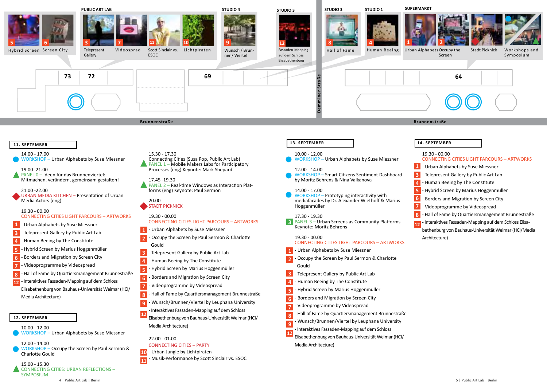

# **11. SEPTEMBER**

14.00 - 17.00 WORKSHOP – Urban Alphabets by Suse Miessner

19.00 -21.00 PANEL 0 – Ideen für das Brunnenviertel: Mitmachen, verändern, gemeinsam gestalten!

21.00 -22.00

URBAN MEDIA KITCHEN – Presentation of Urban Media Actors (eng)

# 19.30 - 00.00

# CONNECTING CITIES LIGHT PARCOURS – ARTWORKS

- Urban Alphabets by Suse Miessner **1**

- Telepresent Gallery by Public Art Lab **3**
- Human Beeing by The Constitute **4**
- Hybrid Screen by Marius Hoggenmüller **5**
- Borders and Migration by Screen City **6**
- Videoprogramme by Videospread **7**
- Hall of Fame by Quartiersmanagement Brunnestraße **8**
- Interaktives Fassaden-Mapping auf dem Schloss **12**

Elisabethenburg von Bauhaus-Universität Weimar (HCI/ Media Architecture)

# **12. SEPTEMBER**

10.00 - 12.00

WORKSHOP – Urban Alphabets by Suse Miessner

12.00 - 14.00 WORKSHOP – Occupy the Screen by Paul Sermon & Charlotte Gould

15.00 - 15.30 CONNECTING CITIES: URBAN REFLECTIONS – SYMPOSIUM

# 15.30 - 17.30

Connecting Cities (Susa Pop, Public Art Lab) PANEL 1 – Mobile Makers Labs for Participatory Processes (eng) Keynote: Mark Shepard

17.45 -19.30 PANEL 2 – Real-time Windows as Interaction Platforms (eng) Keynote: Paul Sermon

20.00 STADT PICKNICK

#### 19.30 - 00.00 CONNECTING CITIES LIGHT PARCOURS – ARTWORKS

- **1** - Urban Alphabets by Suse Miessner
- **2** - Occupy the Screen by Paul Sermon & Charlotte Gould
- **3** - Telepresent Gallery by Public Art Lab
- **4** - Human Beeing by The Constitute
- **5** - Hybrid Screen by Marius Hoggenmüller
	- Borders and Migration by Screen City
- **7** - Videoprogramme by Videospread
- **8** - Hall of Fame by Quartiersmanagement Brunnestraße
- **9** - Wunsch/Brunnen/Viertel by Leuphana University
- Interaktives Fassaden-Mapping auf dem Schloss **12**
- Elisabethenburg von Bauhaus-Universität Weimar (HCI/ Media Architecture)

# 22.00 - 01.00

**6**

# CONNECTING CITIES – PARTY

- **10** Urban Jungle by Lichtpiraten
- **11** - Musik-Performance by Scott Sinclair vs. ESOC

10.00 - 12.00 WORKSHOP – Urban Alphabets by Suse Miessner

12.00 - 14.00

WORKSHOP – Smart Citizens Sentiment Dashboard by Moritz Behrens & Nina Valkanova

## 14.00 - 17.00

**5**

**9**

WORKSHOP – Prototyping interactivity with mediafacades by Dr. Alexander Wiethoff & Marius Hoggenmüller

# 17.30 - 19.30

PANEL 3 – Urban Screens as Community Platforms Keynote: Moritz Behrens **3**

#### 19.30 - 00.00 CONNECTING CITIES LIGHT PARCOURS – ARTWORKS

- Urban Alphabets by Suse Miessner **1**
- Occupy the Screen by Paul Sermon & Charlotte Gould **2**
- Telepresent Gallery by Public Art Lab **3**
- Human Beeing by The Constitute **4**
	- Hybrid Screen by Marius Hoggenmüller
- Borders and Migration by Screen City **6**
- Videoprogramme by Videospread **7**
- Hall of Fame by Quartiersmanagement Brunnestraße **8**
	- Wunsch/Brunnen/Viertel by Leuphana University
- Interaktives Fassaden-Mapping auf dem Schloss
- Elisabethenburg von Bauhaus-Universität Weimar (HCI/ Media Architecture) **12**

# 19.30 - 00.00 CONNECTING CITIES LIGHT PARCOURS – ARTWORKS

- Urban Alphabets by Suse Miessner **1**
- Telepresent Gallery by Public Art Lab **3**
- Human Beeing by The Constitute **4**
- Hybrid Screen by Marius Hoggenmüller **5**
- Borders and Migration by Screen City **6**
- Videoprogramme by Videospread **7**
- Hall of Fame by Quartiersmanagement Brunnestraße **8**
- Interaktives Fassaden-Mapping auf dem Schloss Elisa-**12**
- bethenburg von Bauhaus-Universität Weimar (HCI/Media Architecture)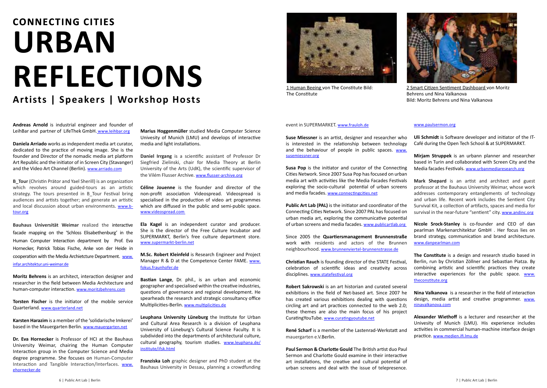# **CONNECTING CITIES Artists | Speakers | Workshop Hosts URBAN REFLECTIONS**

**Andreas Arnold** is industrial engineer and founder of LeihBar and partner of LifeThek GmbH. www.leihbar.org

**Daniela Arriado** works as independent media art curator, dedicated to the practice of moving image. She is the founder and Director of the nomadic media art platform Art Republic and the initiator of in Screen City (Stavanger) and the Video Art Channel (Berlin). www.arriado.com

**B\_Tour** (Christin Prätor and Yael Sherill) is an organization which revolves around guided-tours as an artistic strategy. The tours presented in B\_Tour Festival bring audiences and artists together; and generate an artistic and local discussion about urban environments. www.btour.org

**Bauhaus Universität Weimar** realized the interactive facade mapping on the 'Schloss Elisabethenburg' in the Human Computer Interaction department by Prof. Eva Hornecker, Patrick Tobias Fische, Anke von der Heide in cooperation with the Media Archietcture Department. www. infar.architektur.uni-weimar.de

**Moritz Behrens** is an architect, interaction designer and researcher in the field between Media Architecture and human-computer interaction. www.moritzbehrens.com

**Torsten Fischer** is the initiator of the mobile service Quarterland. www.quarterland.net

**Karsten Harazim** is a member of the 'solidarische Imkerei' based in the Mauergarten Berlin. www.mauergarten.net

**Dr. Eva Hornecker** is Professor of HCI at the Bauhaus University Weimar, chairing the Human Computer Interaction group in the Computer Science and Media degree programme. She focuses on Human-Computer Interaction and Tangible Interaction/Interfaces. www. ehornecker.de

**Marius Hoggenmüller** studied Media Computer Science Univesity of Munich (LMU) and develops of interactive media and light installations.

**Daniel Irrgang** is a scientific assistant of Professor Dr Siegfried Zielinski, chair for Media Theory at Berlin University of the Arts (UdK), the scientific supervisor of the Vilém Flusser Archive. www.flusser-archive.org

**Céline Jouenne** is the founder and director of the non-profit association Videospread. Videospread is specialised in the production of video art programmes which are diffused in the public and semi-public space. www.videospread.com

**Ela Kagel** is an independent curator and producer. She is the director of the Free Culture Incubator and SUPERMARKT, Berlin's free culture department store. www.supermarkt-berlin.net

**M.Sc. Robert Kleinfeld** is Research Engineer and Project Manager R & D at the Competence Center FAME. www. fokus.fraunhofer.de

**Bastian Lange**, Dr. phil., is an urban and economic geographer and specialised within the creative industries, questions of governance and regional development. He spearheads the research and strategic consultancy office Multiplicities-Berlin. www.multiplicities.de

**Leuphana University Lüneburg** the Institute for Urban and Cultural Area Research is a division of Leuphana University of Lüneburg's Cultural Science Faculty. It is subdivided into the departments of architectural culture, cultural geography, tourism studies. www.leuphana.de/ institute/ifsk.html

**Franziska Loh** graphic designer and PhD student at the Bauhaus University in Dessau, planning a crowdfunding



1 Human Beeing von The Constitute Bild: The Constitute

event in SUPERMARKET. www.frauloh.de

**Suse Miessner** is an artist, designer and researcher who is interested in the relationship between technology and the behaviour of people in public spaces. www. susemiessner.org

**Susa Pop** is the initiator and curator of the Connecting Cities Network. Since 2007 Susa Pop has focused on urban media art with activities like the Media Facades Festivals exploring the socio-cultural potential of urban screens and media facades. www.connectingcities.net

**Public Art Lab (PAL)** is the initiator and coordinator of the Connecting Cities Network. Since 2007 PAL has focused on urban media art, exploring the communicative potential of urban screens and media facades. www.publicartlab.org

Since 2005 the **Quartiersmanagement Brunnenstraße**  work with residents and actors of the Brunnen neighbourhood. www.brunnenviertel-brunnenstrasse.de

**Christian Rauch** is founding director of the STATE Festival, celebration of scientific ideas and creativity across disciplines. www.statefestival.org

**Robert Sakrowski** is an art historian and curated several exhibitions in the field of Net-based art. Since 2007 he has created various exhibitions dealing with questions circling art and art practices connected to the web 2.0; these themes are also the main focus of his project CuratingYouTube. www.curatingyoutube.net

**René Scharf** is a member of the Lastenrad-Werkstatt and mauergarten e.V.Berlin.

**Paul Sermon & Charlotte Gould** The British artist duo Paul Sermon and Charlotte Gould examine in their interactive art installations, the creative and cultural potential of urban screens and deal with the issue of telepresence.



2 Smart Citizen Sentiment Dashboard von Moritz Behrens und Nina Valkanova Bild: Moritz Behrens und Nina Valkanova

#### www.paulsermon.org

**Uli Schmidt** is Software developer and initiator of the IT-Café during the Open Tech School & at SUPERMARKT.

**Mirjam Struppek** is an urbann planner and researcher based in Turin and collaborated with Screen City and the Media facades Festivals. www.urbanmediaresearch.org

**Mark Shepard** is an artist and architect and guest professor at the Bauhaus University Weimar, whose work addresses contemporary entanglements of technology and urban life. Recent work includes the Sentient City Survival Kit, a collection of artifacts, spaces and media for survival in the near-future "sentient" city. www.andinc.org

**Nicole Srock-Stanley** is co-founder and CEO of dan pearlman Markenarchitektur GmbH . Her focus lies on brand strategy, communication and brand architecture. www.dannearlman.com

**The Constitute** is a design and research studio based in Berlin, run by Christian Zöllner and Sebastian Piatza. By combining artistic and scientific practices they create interactive experiences for the public space. www. theconstitute.org

**Nina Valkanova** is a researcher in the field of interaction design, media artist and creative programmer. www. ninavalkanova.com

**Alexander Wiethoff** is a lecturer and researcher at the Univesity of Munich (LMU). His experience includes activities in commercial human-machine interface design practice. www.medien.ifi.lmu.de